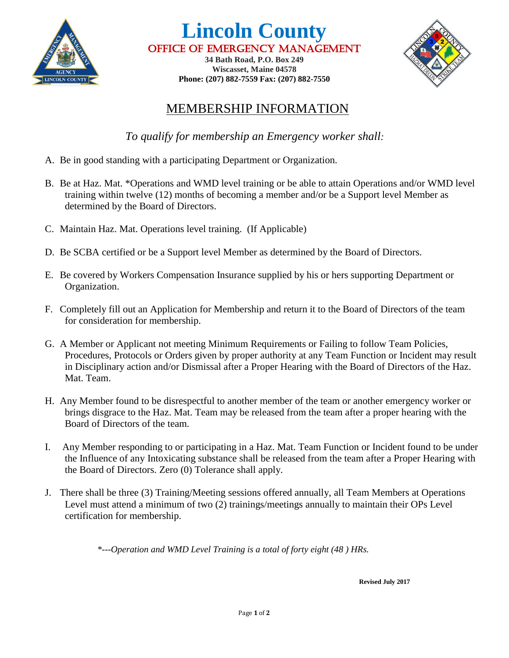

**Lincoln County** Office of Emergency Management **34 Bath Road, P.O. Box 249**

**Wiscasset, Maine 04578 Phone: (207) 882-7559 Fax: (207) 882-7550**



## MEMBERSHIP INFORMATION

*To qualify for membership an Emergency worker shall:* 

- A. Be in good standing with a participating Department or Organization.
- B. Be at Haz. Mat. \*Operations and WMD level training or be able to attain Operations and/or WMD level training within twelve (12) months of becoming a member and/or be a Support level Member as determined by the Board of Directors.
- C. Maintain Haz. Mat. Operations level training. (If Applicable)
- D. Be SCBA certified or be a Support level Member as determined by the Board of Directors.
- E. Be covered by Workers Compensation Insurance supplied by his or hers supporting Department or Organization.
- F. Completely fill out an Application for Membership and return it to the Board of Directors of the team for consideration for membership.
- G. A Member or Applicant not meeting Minimum Requirements or Failing to follow Team Policies, Procedures, Protocols or Orders given by proper authority at any Team Function or Incident may result in Disciplinary action and/or Dismissal after a Proper Hearing with the Board of Directors of the Haz. Mat. Team.
- H. Any Member found to be disrespectful to another member of the team or another emergency worker or brings disgrace to the Haz. Mat. Team may be released from the team after a proper hearing with the Board of Directors of the team.
- I. Any Member responding to or participating in a Haz. Mat. Team Function or Incident found to be under the Influence of any Intoxicating substance shall be released from the team after a Proper Hearing with the Board of Directors. Zero (0) Tolerance shall apply.
- J. There shall be three (3) Training/Meeting sessions offered annually, all Team Members at Operations Level must attend a minimum of two (2) trainings/meetings annually to maintain their OPs Level certification for membership.

*\*---Operation and WMD Level Training is a total of forty eight (48 ) HRs.*

**Revised July 2017**